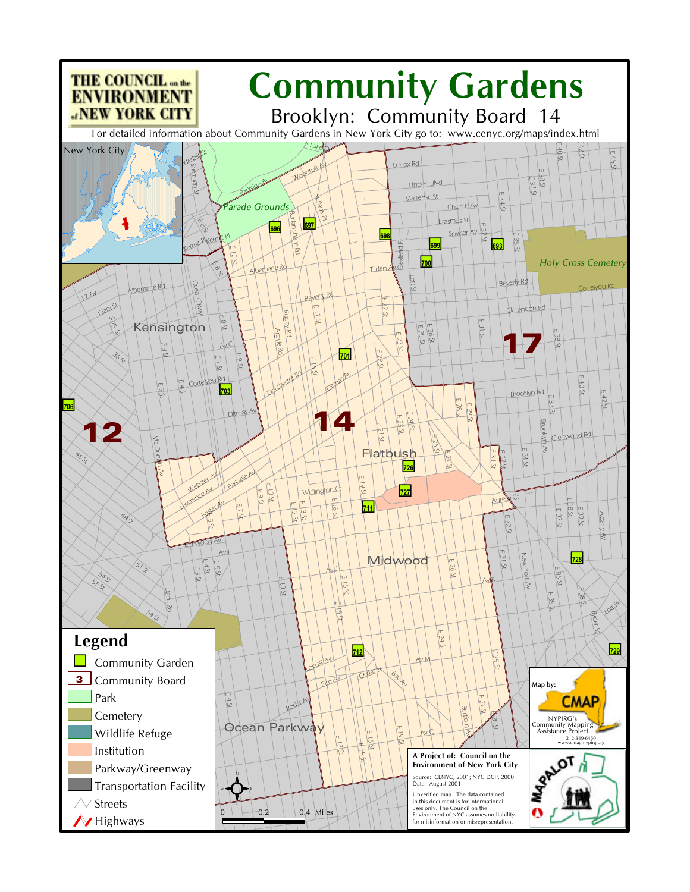